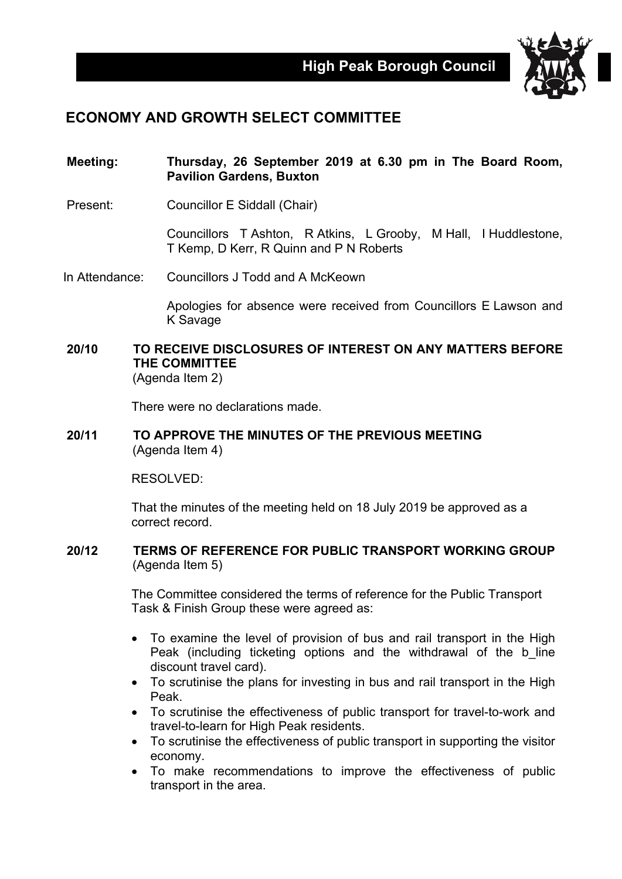

## **ECONOMY AND GROWTH SELECT COMMITTEE**

- **Meeting: Thursday, 26 September 2019 at 6.30 pm in The Board Room, Pavilion Gardens, Buxton**
- Present: Councillor E Siddall (Chair)

Councillors T Ashton, R Atkins, L Grooby, M Hall, I Huddlestone, T Kemp, D Kerr, R Quinn and P N Roberts

In Attendance: Councillors J Todd and A McKeown

Apologies for absence were received from Councillors E Lawson and K Savage

**20/10 TO RECEIVE DISCLOSURES OF INTEREST ON ANY MATTERS BEFORE THE COMMITTEE** (Agenda Item 2)

There were no declarations made.

**20/11 TO APPROVE THE MINUTES OF THE PREVIOUS MEETING** (Agenda Item 4)

RESOLVED:

That the minutes of the meeting held on 18 July 2019 be approved as a correct record.

**20/12 TERMS OF REFERENCE FOR PUBLIC TRANSPORT WORKING GROUP** (Agenda Item 5)

> The Committee considered the terms of reference for the Public Transport Task & Finish Group these were agreed as:

- To examine the level of provision of bus and rail transport in the High Peak (including ticketing options and the withdrawal of the b line discount travel card).
- To scrutinise the plans for investing in bus and rail transport in the High Peak.
- To scrutinise the effectiveness of public transport for travel-to-work and travel-to-learn for High Peak residents.
- To scrutinise the effectiveness of public transport in supporting the visitor economy.
- To make recommendations to improve the effectiveness of public transport in the area.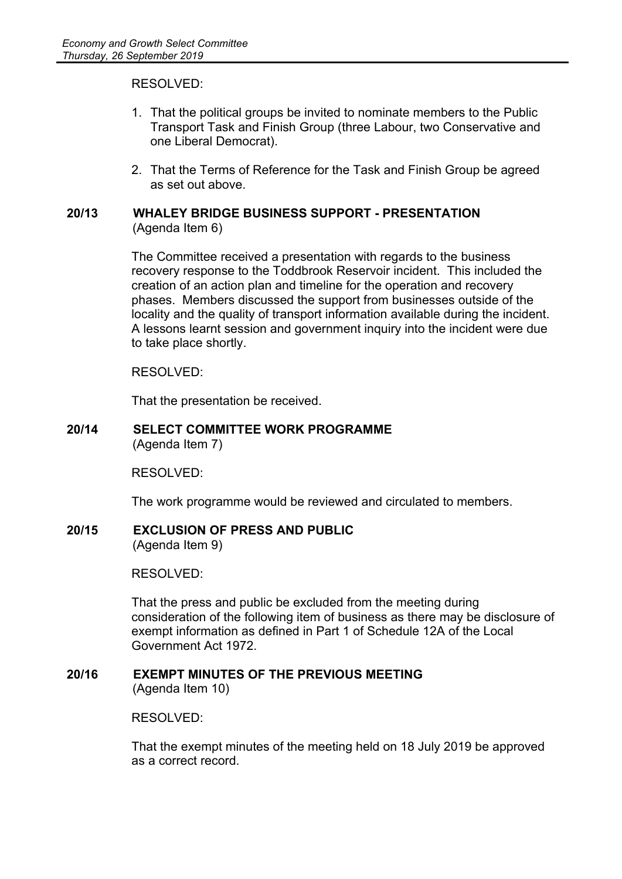RESOLVED:

- 1. That the political groups be invited to nominate members to the Public Transport Task and Finish Group (three Labour, two Conservative and one Liberal Democrat).
- 2. That the Terms of Reference for the Task and Finish Group be agreed as set out above.

## **20/13 WHALEY BRIDGE BUSINESS SUPPORT - PRESENTATION** (Agenda Item 6)

The Committee received a presentation with regards to the business recovery response to the Toddbrook Reservoir incident. This included the creation of an action plan and timeline for the operation and recovery phases. Members discussed the support from businesses outside of the locality and the quality of transport information available during the incident. A lessons learnt session and government inquiry into the incident were due to take place shortly.

RESOLVED:

That the presentation be received.

## **20/14 SELECT COMMITTEE WORK PROGRAMME** (Agenda Item 7)

RESOLVED:

The work programme would be reviewed and circulated to members.

**20/15 EXCLUSION OF PRESS AND PUBLIC**

(Agenda Item 9)

RESOLVED:

That the press and public be excluded from the meeting during consideration of the following item of business as there may be disclosure of exempt information as defined in Part 1 of Schedule 12A of the Local Government Act 1972.

**20/16 EXEMPT MINUTES OF THE PREVIOUS MEETING** (Agenda Item 10)

RESOLVED:

That the exempt minutes of the meeting held on 18 July 2019 be approved as a correct record.